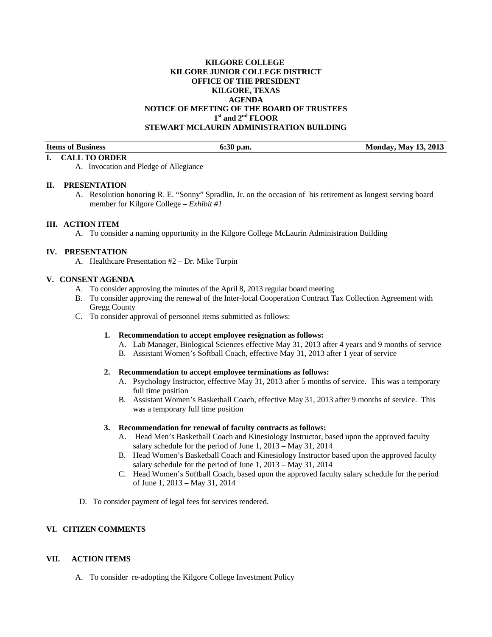# **KILGORE COLLEGE KILGORE JUNIOR COLLEGE DISTRICT OFFICE OF THE PRESIDENT KILGORE, TEXAS AGENDA NOTICE OF MEETING OF THE BOARD OF TRUSTEES 1st and 2nd FLOOR STEWART MCLAURIN ADMINISTRATION BUILDING**

**Items of Business 6:30 p.m. Monday, May 13, 2013** 

A. Invocation and Pledge of Allegiance

#### **II. PRESENTATION**

**I. CALL TO ORDER** 

A. Resolution honoring R. E. "Sonny" Spradlin, Jr. on the occasion of his retirement as longest serving board member for Kilgore College – *Exhibit #1*

### **III. ACTION ITEM**

A. To consider a naming opportunity in the Kilgore College McLaurin Administration Building

### **IV. PRESENTATION**

A. Healthcare Presentation #2 – Dr. Mike Turpin

# **V. CONSENT AGENDA**

- A. To consider approving the minutes of the April 8, 2013 regular board meeting
- B. To consider approving the renewal of the Inter-local Cooperation Contract Tax Collection Agreement with Gregg County
- C. To consider approval of personnel items submitted as follows:
	- **1. Recommendation to accept employee resignation as follows:** 
		- A. Lab Manager, Biological Sciences effective May 31, 2013 after 4 years and 9 months of service
		- B. Assistant Women's Softball Coach, effective May 31, 2013 after 1 year of service

### **2. Recommendation to accept employee terminations as follows:**

- A. Psychology Instructor, effective May 31, 2013 after 5 months of service. This was a temporary full time position
- B. Assistant Women's Basketball Coach, effective May 31, 2013 after 9 months of service. This was a temporary full time position

### **3. Recommendation for renewal of faculty contracts as follows:**

- A. Head Men's Basketball Coach and Kinesiology Instructor, based upon the approved faculty salary schedule for the period of June 1, 2013 – May 31, 2014
- B. Head Women's Basketball Coach and Kinesiology Instructor based upon the approved faculty salary schedule for the period of June 1, 2013 – May 31, 2014
- C. Head Women's Softball Coach, based upon the approved faculty salary schedule for the period of June 1, 2013 – May 31, 2014
- D. To consider payment of legal fees for services rendered.

# **VI. CITIZEN COMMENTS**

## **VII. ACTION ITEMS**

A. To consider re-adopting the Kilgore College Investment Policy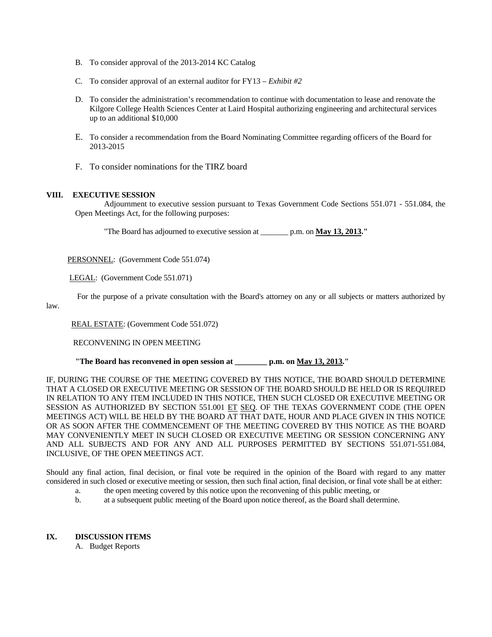- B. To consider approval of the 2013-2014 KC Catalog
- C. To consider approval of an external auditor for FY13 *Exhibit #2*
- D. To consider the administration's recommendation to continue with documentation to lease and renovate the Kilgore College Health Sciences Center at Laird Hospital authorizing engineering and architectural services up to an additional \$10,000
- E. To consider a recommendation from the Board Nominating Committee regarding officers of the Board for 2013-2015
- F. To consider nominations for the TIRZ board

## **VIII. EXECUTIVE SESSION**

 Adjournment to executive session pursuant to Texas Government Code Sections 551.071 - 551.084, the Open Meetings Act, for the following purposes:

"The Board has adjourned to executive session at \_\_\_\_\_\_\_ p.m. on **May 13, 2013."** 

PERSONNEL: (Government Code 551.074)

LEGAL: (Government Code 551.071)

For the purpose of a private consultation with the Board's attorney on any or all subjects or matters authorized by

law.

REAL ESTATE: (Government Code 551.072)

RECONVENING IN OPEN MEETING

 **"The Board has reconvened in open session at \_\_\_\_\_\_\_\_ p.m. on May 13, 2013."** 

IF, DURING THE COURSE OF THE MEETING COVERED BY THIS NOTICE, THE BOARD SHOULD DETERMINE THAT A CLOSED OR EXECUTIVE MEETING OR SESSION OF THE BOARD SHOULD BE HELD OR IS REQUIRED IN RELATION TO ANY ITEM INCLUDED IN THIS NOTICE, THEN SUCH CLOSED OR EXECUTIVE MEETING OR SESSION AS AUTHORIZED BY SECTION 551.001 ET SEQ. OF THE TEXAS GOVERNMENT CODE (THE OPEN MEETINGS ACT) WILL BE HELD BY THE BOARD AT THAT DATE, HOUR AND PLACE GIVEN IN THIS NOTICE OR AS SOON AFTER THE COMMENCEMENT OF THE MEETING COVERED BY THIS NOTICE AS THE BOARD MAY CONVENIENTLY MEET IN SUCH CLOSED OR EXECUTIVE MEETING OR SESSION CONCERNING ANY AND ALL SUBJECTS AND FOR ANY AND ALL PURPOSES PERMITTED BY SECTIONS 551.071-551.084, INCLUSIVE, OF THE OPEN MEETINGS ACT.

Should any final action, final decision, or final vote be required in the opinion of the Board with regard to any matter considered in such closed or executive meeting or session, then such final action, final decision, or final vote shall be at either:

- a. the open meeting covered by this notice upon the reconvening of this public meeting, or
- b. at a subsequent public meeting of the Board upon notice thereof, as the Board shall determine.

# **IX. DISCUSSION ITEMS**

A. Budget Reports